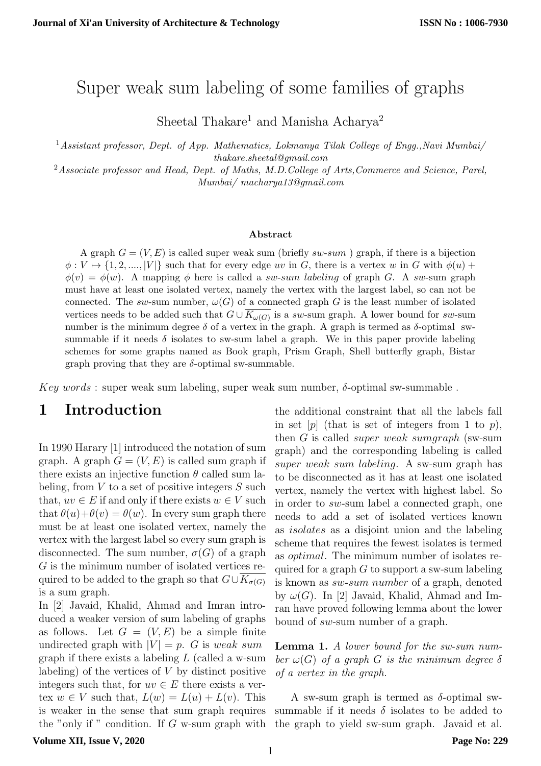# Super weak sum labeling of some families of graphs

Sheetal Thakare<sup>1</sup> and Manisha Acharya<sup>2</sup>

<sup>1</sup> Assistant professor, Dept. of App. Mathematics, Lokmanya Tilak College of Engg., Navi Mumbai/ thakare.sheetal@gmail.com

<sup>2</sup>Associate professor and Head, Dept. of Maths, M.D. College of Arts, Commerce and Science, Parel, Mumbai/ macharya13@gmail.com

### Abstract

A graph  $G = (V, E)$  is called super weak sum (briefly sw-sum) graph, if there is a bijection  $\phi: V \mapsto \{1, 2, \ldots, |V|\}$  such that for every edge uv in G, there is a vertex w in G with  $\phi(u)$  +  $\phi(v) = \phi(w)$ . A mapping  $\phi$  here is called a sw-sum labeling of graph G. A sw-sum graph must have at least one isolated vertex, namely the vertex with the largest label, so can not be connected. The sw-sum number,  $\omega(G)$  of a connected graph G is the least number of isolated vertices needs to be added such that  $G \cup \overline{K_{\omega(G)}}$  is a sw-sum graph. A lower bound for sw-sum number is the minimum degree  $\delta$  of a vertex in the graph. A graph is termed as  $\delta$ -optimal swsummable if it needs  $\delta$  isolates to sw-sum label a graph. We in this paper provide labeling schemes for some graphs named as Book graph, Prism Graph, Shell butterfly graph, Bistar graph proving that they are  $\delta$ -optimal sw-summable.

 $Key words: super weak sum labeling, super weak sum number,  $\delta$ -optimal sw-summable.$ 

### 1 Introduction

In 1990 Harary [1] introduced the notation of sum graph. A graph  $G = (V, E)$  is called sum graph if there exists an injective function  $\theta$  called sum labeling, from  $V$  to a set of positive integers  $S$  such that,  $uv \in E$  if and only if there exists  $w \in V$  such that  $\theta(u)+\theta(v)=\theta(w)$ . In every sum graph there must be at least one isolated vertex, namely the vertex with the largest label so every sum graph is disconnected. The sum number,  $\sigma(G)$  of a graph G is the minimum number of isolated vertices required to be added to the graph so that  $G\cup K_{\sigma(G)}$ is a sum graph.

In [2] Javaid, Khalid, Ahmad and Imran introduced a weaker version of sum labeling of graphs as follows. Let  $G = (V, E)$  be a simple finite undirected graph with  $|V| = p$ . G is weak sum graph if there exists a labeling  $L$  (called a w-sum labeling) of the vertices of  $V$  by distinct positive integers such that, for  $uv \in E$  there exists a vertex  $w \in V$  such that,  $L(w) = L(u) + L(v)$ . This is weaker in the sense that sum graph requires the "only if " condition. If G w-sum graph with the additional constraint that all the labels fall in set  $[p]$  (that is set of integers from 1 to p), then G is called super weak sumgraph (sw-sum graph) and the corresponding labeling is called super weak sum labeling. A sw-sum graph has to be disconnected as it has at least one isolated vertex, namely the vertex with highest label. So in order to sw-sum label a connected graph, one needs to add a set of isolated vertices known as isolates as a disjoint union and the labeling scheme that requires the fewest isolates is termed as optimal. The minimum number of isolates required for a graph  $G$  to support a sw-sum labeling is known as sw-sum number of a graph, denoted by  $\omega(G)$ . In [2] Javaid, Khalid, Ahmad and Imran have proved following lemma about the lower bound of sw-sum number of a graph.

Lemma 1. A lower bound for the sw-sum number  $\omega(G)$  of a graph G is the minimum degree  $\delta$ of a vertex in the graph.

A sw-sum graph is termed as  $\delta$ -optimal swsummable if it needs  $\delta$  isolates to be added to the graph to yield sw-sum graph. Javaid et al.

### **Volume XII, Issue V, 2020**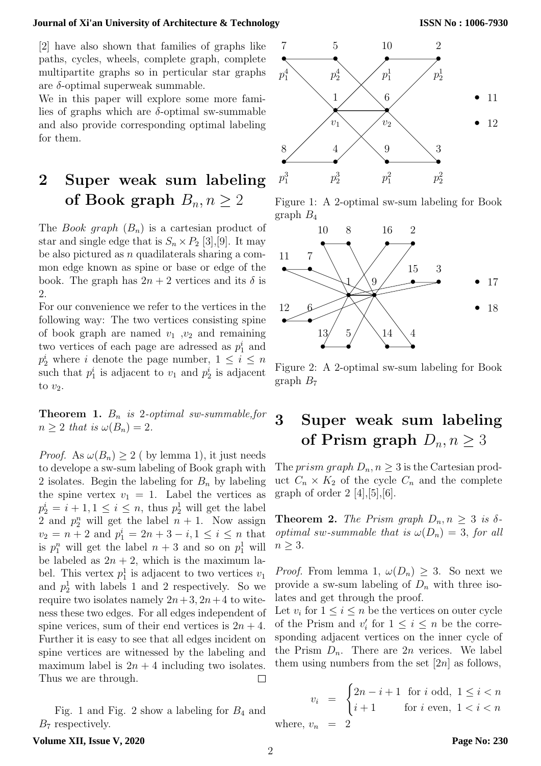#### **Journal of Xi'an University of Architecture & Technology**

[2] have also shown that families of graphs like paths, cycles, wheels, complete graph, complete multipartite graphs so in perticular star graphs are  $\delta$ -optimal superweak summable.

We in this paper will explore some more families of graphs which are  $\delta$ -optimal sw-summable and also provide corresponding optimal labeling for them.

# 2 Super weak sum labeling of Book graph  $B_n, n \geq 2$

The *Book graph*  $(B_n)$  is a cartesian product of star and single edge that is  $S_n \times P_2$  [3], [9]. It may be also pictured as  $n$  quadilaterals sharing a common edge known as spine or base or edge of the book. The graph has  $2n + 2$  vertices and its  $\delta$  is 2.

For our convenience we refer to the vertices in the following way: The two vertices consisting spine of book graph are named  $v_1$ ,  $v_2$  and remaining two vertices of each page are adressed as  $p_1^i$  and  $p_2^i$  where *i* denote the page number,  $1 \leq i \leq n$ such that  $p_1^i$  is adjacent to  $v_1$  and  $p_2^i$  is adjacent to  $v_2$ .

**Theorem 1.**  $B_n$  is 2-optimal sw-summable, for  $n \geq 2$  that is  $\omega(B_n) = 2$ .

*Proof.* As  $\omega(B_n) \geq 2$  ( by lemma 1), it just needs to develope a sw-sum labeling of Book graph with 2 isolates. Begin the labeling for  $B_n$  by labeling the spine vertex  $v_1 = 1$ . Label the vertices as  $p_2^i = i + 1, 1 \leq i \leq n$ , thus  $p_2^1$  will get the label 2 and  $p_2^n$  will get the label  $n + 1$ . Now assign  $v_2 = n + 2$  and  $p_1^i = 2n + 3 - i, 1 \le i \le n$  that is  $p_1^n$  will get the label  $n+3$  and so on  $p_1^1$  will be labeled as  $2n + 2$ , which is the maximum label. This vertex  $p_1^1$  is adjacent to two vertices  $v_1$ and  $p_2^1$  with labels 1 and 2 respectively. So we require two isolates namely  $2n+3$ ,  $2n+4$  to witeness these two edges. For all edges independent of spine verices, sum of their end vertices is  $2n + 4$ . Further it is easy to see that all edges incident on spine vertices are witnessed by the labeling and maximum label is  $2n + 4$  including two isolates. Thus we are through.  $\Box$ 

Fig. 1 and Fig. 2 show a labeling for  $B_4$  and  $B_7$  respectively.



Figure 1: A 2-optimal sw-sum labeling for Book graph  $B_4$ 



Figure 2: A 2-optimal sw-sum labeling for Book graph  $B_7$ 

# 3 Super weak sum labeling of Prism graph  $D_n, n \geq 3$

The *prism graph*  $D_n, n \geq 3$  is the Cartesian product  $C_n \times K_2$  of the cycle  $C_n$  and the complete graph of order  $2 \; [4], [5], [6]$ .

**Theorem 2.** The Prism graph  $D_n, n \geq 3$  is  $\delta$ optimal sw-summable that is  $\omega(D_n) = 3$ , for all  $n \geq 3$ .

*Proof.* From lemma 1,  $\omega(D_n) \geq 3$ . So next we provide a sw-sum labeling of  $D_n$  with three isolates and get through the proof.

Let  $v_i$  for  $1 \leq i \leq n$  be the vertices on outer cycle of the Prism and  $v'_i$  for  $1 \leq i \leq n$  be the corresponding adjacent vertices on the inner cycle of the Prism  $D_n$ . There are  $2n$  verices. We label them using numbers from the set  $[2n]$  as follows,

$$
v_i = \begin{cases} 2n - i + 1 \text{ for } i \text{ odd, } 1 \le i < n \\ i + 1 \text{ for } i \text{ even, } 1 < i < n \end{cases}
$$
  
where,  $v_n = 2$ 

### **Volume XII, Issue V, 2020**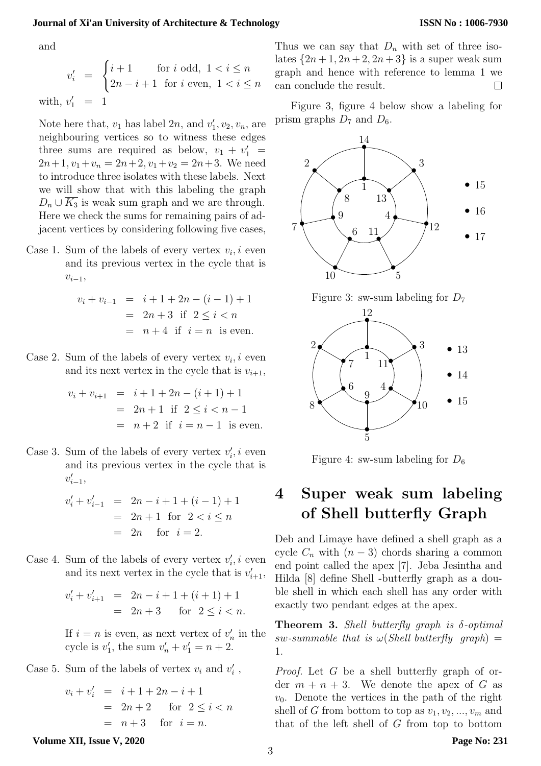### **Journal of Xi'an University of Architecture & Technology**

and

$$
v'_{i} = \begin{cases} i+1 & \text{for } i \text{ odd, } 1 < i \leq n \\ 2n-i+1 & \text{for } i \text{ even, } 1 < i \leq n \end{cases}
$$
\n
$$
\text{with, } v'_{1} = 1
$$

Note here that,  $v_1$  has label  $2n$ , and  $v'_1, v_2, v_n$ , are neighbouring vertices so to witness these edges three sums are required as below,  $v_1 + v_1' =$  $2n+1$ ,  $v_1+v_n = 2n+2$ ,  $v_1+v_2 = 2n+3$ . We need to introduce three isolates with these labels. Next we will show that with this labeling the graph  $D_n \cup \overline{K_3}$  is weak sum graph and we are through. Here we check the sums for remaining pairs of adjacent vertices by considering following five cases,

Case 1. Sum of the labels of every vertex  $v_i, i$  even and its previous vertex in the cycle that is  $v_{i-1}$ 

$$
v_i + v_{i-1} = i + 1 + 2n - (i - 1) + 1
$$
  
= 2n + 3 if 2 \le i < n  
= n + 4 if i = n is even.

Case 2. Sum of the labels of every vertex  $v_i$ , i even and its next vertex in the cycle that is  $v_{i+1}$ ,

$$
v_i + v_{i+1} = i + 1 + 2n - (i + 1) + 1
$$
  
= 2n + 1 if 2 \le i < n - 1  
= n + 2 if i = n - 1 is even.

Case 3. Sum of the labels of every vertex  $v_i$ , i even and its previous vertex in the cycle that is  $v'_{i-1},$ 

$$
v'_{i} + v'_{i-1} = 2n - i + 1 + (i - 1) + 1
$$
  
= 2n + 1 for 2 < i \le n  
= 2n for i = 2.

Case 4. Sum of the labels of every vertex  $v_i$ , i even and its next vertex in the cycle that is  $v'_{i+1}$ ,

$$
v'_{i} + v'_{i+1} = 2n - i + 1 + (i + 1) + 1
$$
  
= 2n + 3 for  $2 \le i < n$ .

If  $i = n$  is even, as next vertex of  $v'_n$  in the cycle is  $v'_1$ , the sum  $v'_n + v'_1 = n + 2$ .

Case 5. Sum of the labels of vertex  $v_i$  and  $v'_i$ ,

 $v_i + v'_i = i + 1 + 2n - i + 1$  $= 2n + 2$  for  $2 \leq i < n$  $= n + 3$  for  $i = n$ .

Thus we can say that  $D_n$  with set of three isolates  $\{2n+1, 2n+2, 2n+3\}$  is a super weak sum graph and hence with reference to lemma 1 we can conclude the result.  $\Box$ 

Figure 3, figure 4 below show a labeling for prism graphs  $D_7$  and  $D_6$ .







Figure 4: sw-sum labeling for  $D_6$ 

# 4 Super weak sum labeling of Shell butterfly Graph

Deb and Limaye have defined a shell graph as a cycle  $C_n$  with  $(n-3)$  chords sharing a common end point called the apex [7]. Jeba Jesintha and Hilda [8] define Shell -butterfly graph as a double shell in which each shell has any order with exactly two pendant edges at the apex.

**Theorem 3.** Shell butterfly graph is  $\delta$ -optimal  $sw\text{-}summable$  that is  $\omega(Shell$  butterfly graph) = 1.

Proof. Let G be a shell butterfly graph of order  $m + n + 3$ . We denote the apex of G as  $v_0$ . Denote the vertices in the path of the right shell of G from bottom to top as  $v_1, v_2, ..., v_m$  and that of the left shell of  $G$  from top to bottom

**Volume XII, Issue V, 2020**